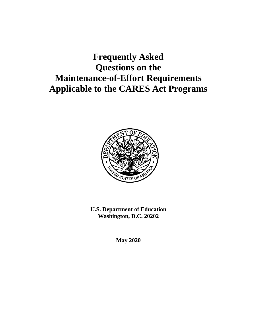# **Frequently Asked Questions on the Maintenance-of-Effort Requirements Applicable to the CARES Act Programs**



**U.S. Department of Education Washington, D.C. 20202**

**May 2020**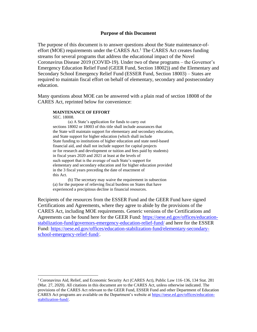#### **Purpose of this Document**

The purpose of this document is to answer questions about the State maintenance-ofeffort (MOE) requirements under the CARES Act.<sup>1</sup> The CARES Act creates funding streams for several programs that address the educational impact of the Novel Coronavirus Disease 2019 (COVID-19). Under two of these programs – the Governor's Emergency Education Relief Fund (GEER Fund, Section 18002)) and the Elementary and Secondary School Emergency Relief Fund (ESSER Fund, Section 18003) – States are required to maintain fiscal effort on behalf of elementary, secondary and postsecondary education.

Many questions about MOE can be answered with a plain read of section 18008 of the CARES Act, reprinted below for convenience:

#### **MAINTENANCE OF EFFORT**

SEC. 18008.

(a) A State's application for funds to carry out sections 18002 or 18003 of this title shall include assurances that the State will maintain support for elementary and secondary education, and State support for higher education (which shall include State funding to institutions of higher education and state need-based financial aid, and shall not include support for capital projects or for research and development or tuition and fees paid by students) in fiscal years 2020 and 2021 at least at the levels of such support that is the average of such State's support for elementary and secondary education and for higher education provided in the 3 fiscal years preceding the date of enactment of this Act.

(b) The secretary may waive the requirement in subsection (a) for the purpose of relieving fiscal burdens on States that have experienced a precipitous decline in financial resources.

Recipients of the resources from the ESSER Fund and the GEER Fund have signed Certifications and Agreements, where they agree to abide by the provisions of the CARES Act, including MOE requirements. Generic versions of the Certifications and Agreements can be found here for the GEER Fund: [https://oese.ed.gov/offices/education](https://oese.ed.gov/offices/education-stabilization-fund/governors-emergency-education-relief-fund/)[stabilization-fund/governors-emergency-education-relief-fund/](https://oese.ed.gov/offices/education-stabilization-fund/governors-emergency-education-relief-fund/) and here for the ESSER Fund: [https://oese.ed.gov/offices/education-stabilization-fund/elementary-secondary](https://oese.ed.gov/offices/education-stabilization-fund/elementary-secondary-school-emergency-relief-fund/)[school-emergency-relief-fund/.](https://oese.ed.gov/offices/education-stabilization-fund/elementary-secondary-school-emergency-relief-fund/)

<sup>1</sup> Coronavirus Aid, Relief, and Economic Security Act (CARES Act), Public Law 116-136, 134 Stat. 281 (Mar. 27, 2020). All citations in this document are to the CARES Act, unless otherwise indicated. The provisions of the CARES Act relevant to the GEER Fund, ESSER Fund and other Department of Education CARES Act programs are available on the Department's website at [https://oese.ed.gov/offices/education](https://oese.ed.gov/offices/education-stabilization-fund/)[stabilization-fund/.](https://oese.ed.gov/offices/education-stabilization-fund/)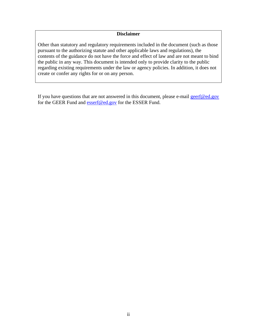#### **Disclaimer**

Other than statutory and regulatory requirements included in the document (such as those pursuant to the authorizing statute and other applicable laws and regulations), the contents of the guidance do not have the force and effect of law and are not meant to bind the public in any way. This document is intended only to provide clarity to the public regarding existing requirements under the law or agency policies. In addition, it does not create or confer any rights for or on any person.

If you have questions that are not answered in this document, please e-mail  $gerf@ed.gov$ for the GEER Fund and [esserf@ed.gov](mailto:esserf@ed.gov) for the ESSER Fund.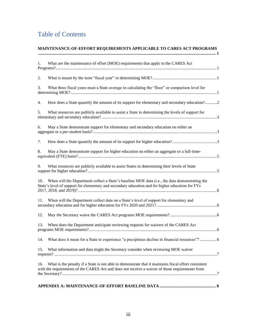# Table of Contents

| 1.  | What are the maintenance of effort (MOE) requirements that apply to the CARES Act                                                                                                                       |
|-----|---------------------------------------------------------------------------------------------------------------------------------------------------------------------------------------------------------|
| 2.  |                                                                                                                                                                                                         |
| 3.  | What three fiscal years must a State average in calculating the "floor" or comparison level for                                                                                                         |
| 4.  | How does a State quantify the amount of its support for elementary and secondary education?2                                                                                                            |
| 5.  | What resources are publicly available to assist a State in determining the levels of support for                                                                                                        |
| 6.  | May a State demonstrate support for elementary and secondary education on either an                                                                                                                     |
| 7.  |                                                                                                                                                                                                         |
| 8.  | May a State demonstrate support for higher education on either an aggregate or a full-time-                                                                                                             |
| 9.  | What resources are publicly available to assist States in determining their levels of State                                                                                                             |
| 10. | When will the Department collect a State's baseline MOE data (i.e., the data demonstrating the<br>State's level of support for elementary and secondary education and for higher education for FYs      |
| 11. | When will the Department collect data on a State's level of support for elementary and                                                                                                                  |
| 12. |                                                                                                                                                                                                         |
| 13. | When does the Department anticipate reviewing requests for waivers of the CARES Act                                                                                                                     |
|     | 14. What does it mean for a State to experience "a precipitous decline in financial resources"? 6                                                                                                       |
| 15. | What information and data might the Secretary consider when reviewing MOE waiver                                                                                                                        |
| 16. | What is the penalty if a State is not able to demonstrate that it maintains fiscal effort consistent<br>with the requirements of the CARES Act and does not receive a waiver of those requirements from |
|     |                                                                                                                                                                                                         |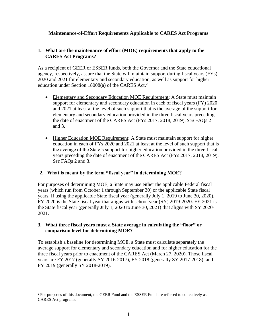#### <span id="page-4-0"></span>**Maintenance-of-Effort Requirements Applicable to CARES Act Programs**

## <span id="page-4-1"></span>**1. What are the maintenance of effort (MOE) requirements that apply to the CARES Act Programs?**

As a recipient of GEER or ESSER funds, both the Governor and the State educational agency, respectively, assure that the State will maintain support during fiscal years (FYs) 2020 and 2021 for elementary and secondary education, as well as support for higher education under Section 18008(a) of the CARES Act.<sup>2</sup>

- Elementary and Secondary Education MOE Requirement: A State must maintain support for elementary and secondary education in each of fiscal years (FY) 2020 and 2021 at least at the level of such support that is the average of the support for elementary and secondary education provided in the three fiscal years preceding the date of enactment of the CARES Act (FYs 2017, 2018, 2019). *See* FAQs 2 and 3.
- Higher Education MOE Requirement: A State must maintain support for higher education in each of FYs 2020 and 2021 at least at the level of such support that is the average of the State's support for higher education provided in the three fiscal years preceding the date of enactment of the CARES Act (FYs 2017, 2018, 2019). *See* FAQs 2 and 3.

# <span id="page-4-2"></span>**2. What is meant by the term "fiscal year" in determining MOE?**

For purposes of determining MOE, a State may use either the applicable Federal fiscal years (which run from October 1 through September 30) or the applicable State fiscal years. If using the applicable State fiscal year (generally July 1, 2019 to June 30, 2020), FY 2020 is the State fiscal year that aligns with school year (SY) 2019-2020. FY 2021 is the State fiscal year (generally July 1, 2020 to June 30, 2021) that aligns with SY 2020- 2021.

## <span id="page-4-3"></span>**3. What three fiscal years must a State average in calculating the "floor" or comparison level for determining MOE?**

To establish a baseline for determining MOE, a State must calculate separately the average support for elementary and secondary education and for higher education for the three fiscal years prior to enactment of the CARES Act (March 27, 2020). Those fiscal years are FY 2017 (generally SY 2016-2017), FY 2018 (generally SY 2017-2018), and FY 2019 (generally SY 2018-2019).

 $<sup>2</sup>$  For purposes of this document, the GEER Fund and the ESSER Fund are referred to collectively as</sup> CARES Act programs.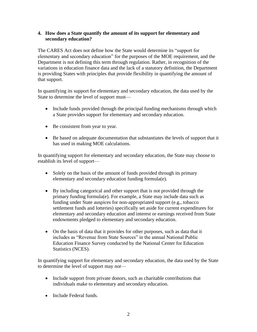#### <span id="page-5-0"></span>**4. How does a State quantify the amount of its support for elementary and secondary education?**

The CARES Act does not define how the State would determine its "support for elementary and secondary education" for the purposes of the MOE requirement, and the Department is not defining this term through regulation. Rather, in recognition of the variations in education finance data and the lack of a statutory definition, the Department is providing States with principles that provide flexibility in quantifying the amount of that support.

In quantifying its support for elementary and secondary education, the data used by the State to determine the level of support must—

- Include funds provided through the principal funding mechanisms through which a State provides support for elementary and secondary education.
- Be consistent from year to year.
- Be based on adequate documentation that substantiates the levels of support that it has used in making MOE calculations.

In quantifying support for elementary and secondary education, the State may choose to establish its level of support—

- Solely on the basis of the amount of funds provided through its primary elementary and secondary education funding formula(e).
- By including categorical and other support that is not provided through the primary funding formula(e). For example, a State may include data such as funding under State auspices for non-appropriated support (e.g., tobacco settlement funds and lotteries) specifically set aside for current expenditures for elementary and secondary education and interest or earnings received from State endowments pledged to elementary and secondary education.
- On the basis of data that it provides for other purposes, such as data that it includes as "Revenue from State Sources" in the annual National Public Education Finance Survey conducted by the National Center for Education Statistics (NCES).

In quantifying support for elementary and secondary education, the data used by the State to determine the level of support may *not*—

- Include support from private donors, such as charitable contributions that individuals make to elementary and secondary education.
- Include Federal funds.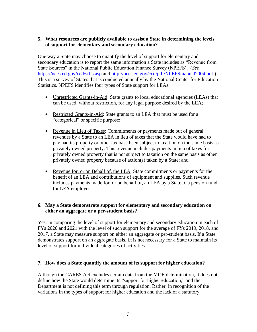#### <span id="page-6-0"></span>**5. What resources are publicly available to assist a State in determining the levels of support for elementary and secondary education?**

One way a State may choose to quantify the level of support for elementary and secondary education is to report the same information a State includes as "Revenue from State Sources" in the National Public Education Finance Survey (NPEFS). (*See* <https://nces.ed.gov/ccd/stfis.asp> and [http://nces.ed.gov/ccd/pdf/NPEFSmanual2004.pdf.](http://nces.ed.gov/ccd/pdf/NPEFSmanual2004.pdf)) This is a survey of States that is conducted annually by the National Center for Education Statistics. NPEFS identifies four types of State support for LEAs:

- Unrestricted Grants-in-Aid: State grants to local educational agencies (LEAs) that can be used, without restriction, for any legal purpose desired by the LEA;
- Restricted Grants-in-Aid: State grants to an LEA that must be used for a "categorical" or specific purpose;
- Revenue in Lieu of Taxes: Commitments or payments made out of general revenues by a State to an LEA in lieu of taxes that the State would have had to pay had its property or other tax base been subject to taxation on the same basis as privately owned property. This revenue includes payments in lieu of taxes for privately owned property that is not subject to taxation on the same basis as other privately owned property because of action(s) taken by a State; and
- Revenue for, or on Behalf of, the LEA: State commitments or payments for the benefit of an LEA and contributions of equipment and supplies. Such revenue includes payments made for, or on behalf of, an LEA by a State to a pension fund for LEA employees.

#### <span id="page-6-1"></span>**6. May a State demonstrate support for elementary and secondary education on either an aggregate or a per-student basis?**

Yes. In comparing the level of support for elementary and secondary education in each of FYs 2020 and 2021 with the level of such support for the average of FYs 2019, 2018, and 2017, a State may measure support on either an aggregate or per-student basis. If a State demonstrates support on an aggregate basis, i**.**t is not necessary for a State to maintain its level of support for individual categories of activities.

#### <span id="page-6-2"></span>**7. How does a State quantify the amount of its support for higher education?**

Although the CARES Act excludes certain data from the MOE determination, it does not define how the State would determine its "support for higher education," and the Department is not defining this term through regulation. Rather, in recognition of the variations in the types of support for higher education and the lack of a statutory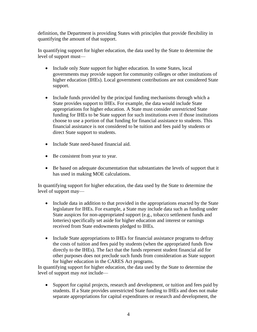definition, the Department is providing States with principles that provide flexibility in quantifying the amount of that support.

In quantifying support for higher education, the data used by the State to determine the level of support must—

- Include only *State* support for higher education. In some States, local governments may provide support for community colleges or other institutions of higher education (IHEs). Local government contributions are not considered State support.
- Include funds provided by the principal funding mechanisms through which a State provides support to IHEs. For example, the data would include State appropriations for higher education. A State must consider unrestricted State funding for IHEs to be State support for such institutions even if those institutions choose to use a portion of that funding for financial assistance to students. This financial assistance is not considered to be tuition and fees paid by students or direct State support to students.
- Include State need-based financial aid.
- Be consistent from year to year.
- Be based on adequate documentation that substantiates the levels of support that it has used in making MOE calculations.

In quantifying support for higher education, the data used by the State to determine the level of support may—

- Include data in addition to that provided in the appropriations enacted by the State legislature for IHEs. For example, a State may include data such as funding under State auspices for non-appropriated support (e.g., tobacco settlement funds and lotteries) specifically set aside for higher education and interest or earnings received from State endowments pledged to IHEs.
- Include State appropriations to IHEs for financial assistance programs to defray the costs of tuition and fees paid by students (when the appropriated funds flow directly to the IHEs). The fact that the funds represent student financial aid for other purposes does not preclude such funds from consideration as State support for higher education in the CARES Act programs.

In quantifying support for higher education, the data used by the State to determine the level of support may *not* include—

• Support for capital projects, research and development, or tuition and fees paid by students. If a State provides unrestricted State funding to IHEs and does not make separate appropriations for capital expenditures or research and development, the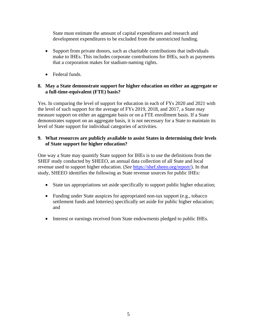State must estimate the amount of capital expenditures and research and development expenditures to be excluded from the unrestricted funding.

- Support from private donors, such as charitable contributions that individuals make to IHEs. This includes corporate contributions for IHEs, such as payments that a corporation makes for stadium-naming rights.
- Federal funds.

#### <span id="page-8-0"></span>**8. May a State demonstrate support for higher education on either an aggregate or a full-time-equivalent (FTE) basis?**

Yes. In comparing the level of support for education in each of FYs 2020 and 2021 with the level of such support for the average of FYs 2019, 2018, and 2017, a State may measure support on either an aggregate basis or on a FTE enrollment basis. If a State demonstrates support on an aggregate basis, it is not necessary for a State to maintain its level of State support for individual categories of activities.

### <span id="page-8-1"></span>**9. What resources are publicly available to assist States in determining their levels of State support for higher education?**

One way a State may quantify State support for IHEs is to use the definitions from the SHEF study conducted by SHEEO, an annual data collection of all State and local revenue used to support higher education. (*See* [https://shef.sheeo.org/report/\)](https://shef.sheeo.org/report/). In that study, SHEEO identifies the following as State revenue sources for public IHEs:

- State tax appropriations set aside specifically to support public higher education;
- Funding under State auspices for appropriated non-tax support (e.g., tobacco) settlement funds and lotteries) specifically set aside for public higher education; and
- Interest or earnings received from State endowments pledged to public IHEs.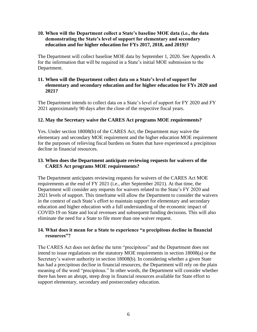#### <span id="page-9-0"></span>**10. When will the Department collect a State's baseline MOE data (i.e., the data demonstrating the State's level of support for elementary and secondary education and for higher education for FYs 2017, 2018, and 2019)?**

The Department will collect baseline MOE data by September 1, 2020. See Appendix A for the information that will be required in a State's initial MOE submission to the Department.

#### <span id="page-9-1"></span>**11. When will the Department collect data on a State's level of support for elementary and secondary education and for higher education for FYs 2020 and 2021?**

The Department intends to collect data on a State's level of support for FY 2020 and FY 2021 approximately 90 days after the close of the respective fiscal years.

# <span id="page-9-2"></span>**12. May the Secretary waive the CARES Act programs MOE requirements?**

Yes. Under section 18008(b) of the CARES Act, the Department may waive the elementary and secondary MOE requirement and the higher education MOE requirement for the purposes of relieving fiscal burdens on States that have experienced a precipitous decline in financial resources.

#### <span id="page-9-3"></span>**13. When does the Department anticipate reviewing requests for waivers of the CARES Act programs MOE requirements?**

The Department anticipates reviewing requests for waivers of the CARES Act MOE requirements at the end of FY 2021 (i.e., after September 2021). At that time, the Department will consider any requests for waivers related to the State's FY 2020 and 2021 levels of support. This timeframe will allow the Department to consider the waivers in the context of each State's effort to maintain support for elementary and secondary education and higher education with a full understanding of the economic impact of COVID-19 on State and local revenues and subsequent funding decisions. This will also eliminate the need for a State to file more than one waiver request.

#### <span id="page-9-4"></span>**14. What does it mean for a State to experience "a precipitous decline in financial resources"?**

The CARES Act does not define the term "precipitous" and the Department does not intend to issue regulations on the statutory MOE requirements in section 18008(a) or the Secretary's waiver authority in section 18008(b). In considering whether a given State has had a precipitous decline in financial resources, the Department will rely on the plain meaning of the word "precipitous." In other words, the Department will consider whether there has been an abrupt, steep drop in financial resources available for State effort to support elementary, secondary and postsecondary education.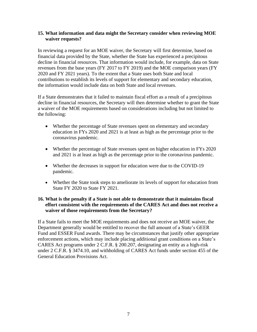#### <span id="page-10-0"></span>**15. What information and data might the Secretary consider when reviewing MOE waiver requests?**

In reviewing a request for an MOE waiver, the Secretary will first determine, based on financial data provided by the State, whether the State has experienced a precipitous decline in financial resources. That information would include, for example, data on State revenues from the base years (FY 2017 to FY 2019) and the MOE comparison years (FY 2020 and FY 2021 years). To the extent that a State uses both State and local contributions to establish its levels of support for elementary and secondary education, the information would include data on both State and local revenues.

If a State demonstrates that it failed to maintain fiscal effort as a result of a precipitous decline in financial resources, the Secretary will then determine whether to grant the State a waiver of the MOE requirements based on considerations including but not limited to the following:

- Whether the percentage of State revenues spent on elementary and secondary education in FYs 2020 and 2021 is at least as high as the percentage prior to the coronavirus pandemic.
- Whether the percentage of State revenues spent on higher education in FYs 2020 and 2021 is at least as high as the percentage prior to the coronavirus pandemic.
- Whether the decreases in support for education were due to the COVID-19 pandemic.
- Whether the State took steps to ameliorate its levels of support for education from State FY 2020 to State FY 2021.

#### <span id="page-10-1"></span>**16. What is the penalty if a State is not able to demonstrate that it maintains fiscal effort consistent with the requirements of the CARES Act and does not receive a waiver of those requirements from the Secretary?**

If a State fails to meet the MOE requirements and does not receive an MOE waiver, the Department generally would be entitled to recover the full amount of a State's GEER Fund and ESSER Fund awards. There may be circumstances that justify other appropriate enforcement actions, which may include placing additional grant conditions on a State's CARES Act programs under 2 C.F.R. § 200.207, designating an entity as a high-risk under 2 C.F.R. § 3474.10, and withholding of CARES Act funds under section 455 of the General Education Provisions Act.